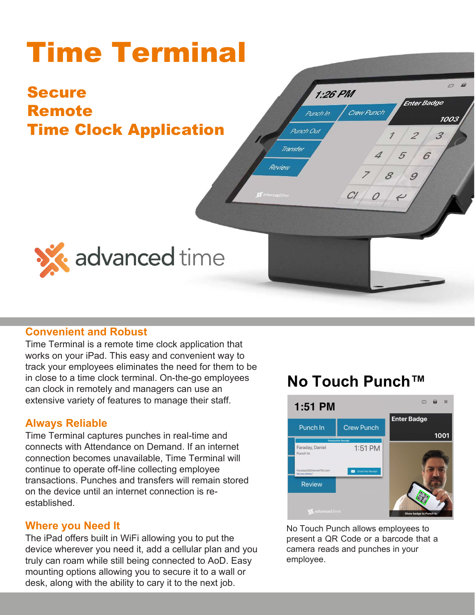#### Time Terminal  $766$  $1:26$  PM **Enter Badge** Secure Crew Punch Punch In 1003 Remote Punch Out  $\overline{\mathcal{Z}}$  $\mathcal{Z}$ Time Clock Application Transfer 5 6 Review 9 8  $CI$   $O$ **SX** advanced time

## **Convenient and Robust**

employee time and labor information. Employees and supervisors can punch and perform job labor transfers from anywhere a device is available. Staff can receive attestation prompts during the start and end of their shifts. Time Terminal user functions are configurable and easy-to-use.

## **Always Reliable**

Time Terminal captures punches in real-time and connects with Attendance on Demand. If an internet connection becomes unavailable, Time Terminal will continue to operate off-line collecting employee transactions. Punches and transfers will remain stored on the device until an internet connection is reestablished.

## **Where you Need It**

The iPad offers built in WiFi allowing you to put the device wherever you need it, add a cellular plan and you truly can roam while still being connected to AoD. Easy mounting options allowing you to secure it to a wall or desk, along with the ability to carry it to the next job.

## **Convenient and Robust**<br>Time Terminal is a fast and convenient way to track **No Touch Punch™**



No Touch Punch allows employees to present a QR Code or a barcode that a camera reads and punches in your employee.